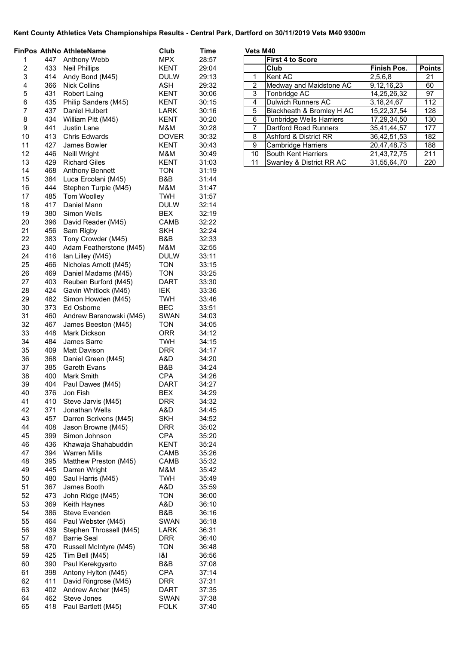|          |            | <b>FinPos AthNo AthleteName</b>          | Club                     | Time           | Vets M40 |                                                |                            |               |
|----------|------------|------------------------------------------|--------------------------|----------------|----------|------------------------------------------------|----------------------------|---------------|
| 1        | 447        | Anthony Webb                             | <b>MPX</b>               | 28:57          |          | <b>First 4 to Score</b>                        |                            |               |
| 2        | 433        | <b>Neil Phillips</b>                     | <b>KENT</b>              | 29:04          |          | Club                                           | Finish Pos.                | <b>Points</b> |
| 3        | 414        | Andy Bond (M45)                          | <b>DULW</b>              | 29:13          | 1        | Kent AC                                        | 2,5,6,8                    | 21            |
| 4        | 366        | <b>Nick Collins</b>                      | <b>ASH</b>               | 29:32          | 2        | Medway and Maidstone AC                        | 9,12,16,23                 | 60            |
| 5        | 431        | <b>Robert Laing</b>                      | <b>KENT</b>              | 30:06          | 3        | Tonbridge AC                                   | 14,25,26,32                | 97            |
| 6        | 435        | Philip Sanders (M45)                     | KENT                     | 30:15          | 4        | <b>Dulwich Runners AC</b>                      | 3, 18, 24, 67              | 112           |
| 7        | 437        | Daniel Hulbert                           | LARK                     | 30:16          | 5        | Blackheath & Bromley H AC                      | 15,22,37,54                | 128           |
| 8<br>9   | 434<br>441 | William Pitt (M45)<br><b>Justin Lane</b> | KENT<br>M&M              | 30:20          | 6<br>7   | Tunbridge Wells Harriers                       | 17,29,34,50                | 130<br>177    |
| 10       | 413        | <b>Chris Edwards</b>                     | <b>DOVER</b>             | 30:28<br>30:32 | 8        | Dartford Road Runners<br>Ashford & District RR | 35,41,44,57<br>36,42,51,53 | 182           |
| 11       | 427        | James Bowler                             | <b>KENT</b>              | 30:43          | 9        | <b>Cambridge Harriers</b>                      | 20,47,48,73                | 188           |
| 12       | 446        | <b>Neill Wright</b>                      | M&M                      | 30:49          | 10       | South Kent Harriers                            | 21,43,72,75                | 211           |
| 13       | 429        | <b>Richard Giles</b>                     | KENT                     | 31:03          | 11       | Swanley & District RR AC                       | 31,55,64,70                | 220           |
| 14       | 468        | <b>Anthony Bennett</b>                   | <b>TON</b>               | 31:19          |          |                                                |                            |               |
| 15       | 384        | Luca Ercolani (M45)                      | B&B                      | 31:44          |          |                                                |                            |               |
| 16       | 444        | Stephen Turpie (M45)                     | M&M                      | 31:47          |          |                                                |                            |               |
| 17       | 485        | Tom Woolley                              | <b>TWH</b>               | 31:57          |          |                                                |                            |               |
| 18       | 417        | Daniel Mann                              | <b>DULW</b>              | 32:14          |          |                                                |                            |               |
| 19       | 380        | Simon Wells                              | <b>BEX</b>               | 32:19          |          |                                                |                            |               |
| 20       | 396        | David Reader (M45)                       | CAMB                     | 32:22          |          |                                                |                            |               |
| 21       | 456        | Sam Rigby                                | <b>SKH</b>               | 32:24          |          |                                                |                            |               |
| 22       | 383        | Tony Crowder (M45)                       | B&B                      | 32:33          |          |                                                |                            |               |
| 23       | 440        | Adam Featherstone (M45)                  | M&M                      | 32:55          |          |                                                |                            |               |
| 24       | 416        | Ian Lilley (M45)                         | <b>DULW</b>              | 33:11          |          |                                                |                            |               |
| 25       | 466        | Nicholas Arnott (M45)                    | <b>TON</b>               | 33:15          |          |                                                |                            |               |
| 26       | 469        | Daniel Madams (M45)                      | <b>TON</b>               | 33:25          |          |                                                |                            |               |
| 27       | 403        | Reuben Burford (M45)                     | <b>DART</b>              | 33:30          |          |                                                |                            |               |
| 28       | 424        | Gavin Whitlock (M45)                     | IEK                      | 33:36          |          |                                                |                            |               |
| 29       | 482        | Simon Howden (M45)                       | <b>TWH</b>               | 33:46          |          |                                                |                            |               |
| 30       | 373        | Ed Osborne                               | <b>BEC</b>               | 33:51          |          |                                                |                            |               |
| 31       | 460        | Andrew Baranowski (M45)                  | <b>SWAN</b>              | 34:03          |          |                                                |                            |               |
| 32       | 467        | James Beeston (M45)                      | <b>TON</b>               | 34:05          |          |                                                |                            |               |
| 33       | 448        | Mark Dickson                             | <b>ORR</b>               | 34:12          |          |                                                |                            |               |
| 34<br>35 | 484<br>409 | James Sarre                              | <b>TWH</b><br><b>DRR</b> | 34:15          |          |                                                |                            |               |
| 36       | 368        | Matt Davison<br>Daniel Green (M45)       | A&D                      | 34:17<br>34:20 |          |                                                |                            |               |
| 37       | 385        | <b>Gareth Evans</b>                      | B&B                      | 34:24          |          |                                                |                            |               |
| 38       | 400        | Mark Smith                               | <b>CPA</b>               | 34:26          |          |                                                |                            |               |
| 39       | 404        | Paul Dawes (M45)                         | <b>DART</b>              | 34:27          |          |                                                |                            |               |
| 40       | 376        | Jon Fish                                 | <b>BEX</b>               | 34:29          |          |                                                |                            |               |
| 41       | 410        | Steve Jarvis (M45)                       | <b>DRR</b>               | 34:32          |          |                                                |                            |               |
| 42       | 371        | Jonathan Wells                           | A&D                      | 34:45          |          |                                                |                            |               |
| 43       | 457        | Darren Scrivens (M45)                    | <b>SKH</b>               | 34:52          |          |                                                |                            |               |
| 44       | 408        | Jason Browne (M45)                       | <b>DRR</b>               | 35:02          |          |                                                |                            |               |
| 45       | 399        | Simon Johnson                            | <b>CPA</b>               | 35:20          |          |                                                |                            |               |
| 46       | 436        | Khawaja Shahabuddin                      | <b>KENT</b>              | 35:24          |          |                                                |                            |               |
| 47       | 394        | <b>Warren Mills</b>                      | CAMB                     | 35:26          |          |                                                |                            |               |
| 48       | 395        | Matthew Preston (M45)                    | CAMB                     | 35:32          |          |                                                |                            |               |
| 49       | 445        | Darren Wright                            | M&M                      | 35:42          |          |                                                |                            |               |
| 50       | 480        | Saul Harris (M45)                        | <b>TWH</b>               | 35:49          |          |                                                |                            |               |
| 51       | 367        | James Booth                              | A&D                      | 35:59          |          |                                                |                            |               |
| 52       | 473        | John Ridge (M45)                         | <b>TON</b>               | 36:00          |          |                                                |                            |               |
| 53       | 369        | Keith Haynes                             | A&D                      | 36:10          |          |                                                |                            |               |
| 54       | 386        | Steve Evenden                            | B&B                      | 36:16          |          |                                                |                            |               |
| 55       | 464        | Paul Webster (M45)                       | <b>SWAN</b>              | 36:18          |          |                                                |                            |               |
| 56       | 439        | Stephen Throssell (M45)                  | LARK                     | 36:31          |          |                                                |                            |               |
| 57       | 487        | <b>Barrie Seal</b>                       | <b>DRR</b>               | 36:40          |          |                                                |                            |               |
| 58       | 470        | Russell McIntyre (M45)                   | <b>TON</b>               | 36:48          |          |                                                |                            |               |
| 59<br>60 | 425<br>390 | Tim Bell (M45)                           | 8                        | 36:56          |          |                                                |                            |               |
| 61       | 398        | Paul Kerekgyarto<br>Antony Hylton (M45)  | B&B<br>CPA               | 37:08<br>37:14 |          |                                                |                            |               |
| 62       | 411        | David Ringrose (M45)                     | <b>DRR</b>               | 37:31          |          |                                                |                            |               |
| 63       | 402        | Andrew Archer (M45)                      | <b>DART</b>              | 37:35          |          |                                                |                            |               |
| 64       | 462        | Steve Jones                              | <b>SWAN</b>              | 37:38          |          |                                                |                            |               |
| 65       | 418        | Paul Bartlett (M45)                      | <b>FOLK</b>              | 37:40          |          |                                                |                            |               |

| Vets M40 |  |
|----------|--|
|----------|--|

| טדווו טוט      |                                  |               |               |
|----------------|----------------------------------|---------------|---------------|
|                | <b>First 4 to Score</b>          |               |               |
|                | Club                             | Finish Pos.   | <b>Points</b> |
| 1              | Kent AC                          | 2,5,6,8       | 21            |
| $\overline{2}$ | Medway and Maidstone AC          | 9,12,16,23    | 60            |
| 3              | Tonbridge AC                     | 14,25,26,32   | 97            |
| 4              | <b>Dulwich Runners AC</b>        | 3, 18, 24, 67 | 112           |
| 5              | Blackheath & Bromley H AC        | 15,22,37,54   | 128           |
| 6              | Tunbridge Wells Harriers         | 17,29,34,50   | 130           |
| $\overline{7}$ | <b>Dartford Road Runners</b>     | 35,41,44,57   | 177           |
| 8              | <b>Ashford &amp; District RR</b> | 36,42,51,53   | 182           |
| 9              | <b>Cambridge Harriers</b>        | 20,47,48,73   | 188           |
| 10             | South Kent Harriers              | 21,43,72,75   | 211           |
| 11             | Swanley & District RR AC         | 31,55,64,70   | 220           |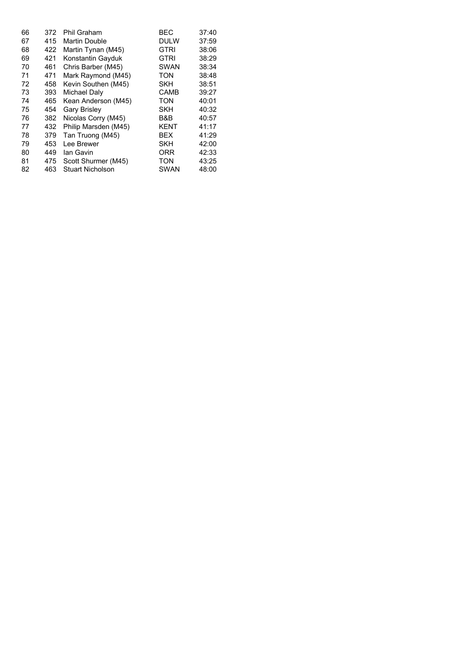| 66 | 372 | Phil Graham             | BEC         | 37:40 |
|----|-----|-------------------------|-------------|-------|
| 67 | 415 | <b>Martin Double</b>    | <b>DULW</b> | 37:59 |
| 68 | 422 | Martin Tynan (M45)      | GTRI        | 38:06 |
| 69 | 421 | Konstantin Gayduk       | <b>GTRI</b> | 38:29 |
| 70 | 461 | Chris Barber (M45)      | <b>SWAN</b> | 38:34 |
| 71 | 471 | Mark Raymond (M45)      | TON         | 38:48 |
| 72 | 458 | Kevin Southen (M45)     | SKH         | 38:51 |
| 73 | 393 | Michael Daly            | <b>CAMB</b> | 39:27 |
| 74 | 465 | Kean Anderson (M45)     | TON         | 40:01 |
| 75 | 454 | <b>Gary Brisley</b>     | <b>SKH</b>  | 40:32 |
| 76 | 382 | Nicolas Corry (M45)     | B&B         | 40:57 |
| 77 | 432 | Philip Marsden (M45)    | KENT        | 41:17 |
| 78 | 379 | Tan Truong (M45)        | BEX         | 41:29 |
| 79 | 453 | Lee Brewer              | SKH         | 42:00 |
| 80 | 449 | lan Gavin               | ORR         | 42:33 |
| 81 | 475 | Scott Shurmer (M45)     | <b>TON</b>  | 43:25 |
| 82 | 463 | <b>Stuart Nicholson</b> | SWAN        | 48:00 |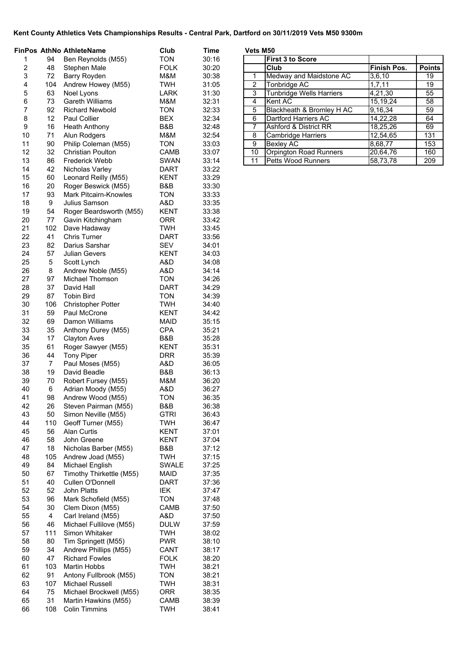|                |           | FinPos AthNo AthleteName                       | Club                     | <b>Time</b>    |                     | Vets M50 |                                                |                     |                       |
|----------------|-----------|------------------------------------------------|--------------------------|----------------|---------------------|----------|------------------------------------------------|---------------------|-----------------------|
| 1              | 94        | Ben Reynolds (M55)                             | <b>TON</b>               | 30:16          |                     |          | <b>First 3 to Score</b>                        |                     |                       |
| $\overline{c}$ | 48        | Stephen Male                                   | <b>FOLK</b>              | 30:20          |                     |          | Club                                           | <b>Finish Pos.</b>  | <b>Points</b>         |
| 3              | 72        | Barry Royden                                   | M&M                      | 30:38          | 1<br>$\overline{2}$ |          | Medway and Maidstone AC<br><b>Tonbridge AC</b> | 3,6,10              | 19<br>$\overline{19}$ |
| 4<br>5         | 104<br>63 | Andrew Howey (M55)<br>Noel Lyons               | <b>TWH</b><br>LARK       | 31:05<br>31:30 | 3                   |          |                                                | 1,7,11              | $\overline{55}$       |
| 6              | 73        | <b>Gareth Williams</b>                         | M&M                      | 32:31          | 4                   |          | <b>Tunbridge Wells Harriers</b><br>Kent AC     | 4,21,30<br>15,19,24 | 58                    |
| 7              | 92        | <b>Richard Newbold</b>                         | <b>TON</b>               | 32:33          | 5                   |          | Blackheath & Bromley H AC                      | 9,16,34             | 59                    |
| 8              | 12        | <b>Paul Collier</b>                            | <b>BEX</b>               | 32:34          | 6                   |          | Dartford Harriers AC                           | 14,22,28            | 64                    |
| 9              | 16        | <b>Heath Anthony</b>                           | B&B                      | 32:48          | $\overline{7}$      |          | Ashford & District RR                          | 18,25,26            | 69                    |
| 10             | 71        | Alun Rodgers                                   | M&M                      | 32:54          | $\overline{8}$      |          | <b>Cambridge Harriers</b>                      | 12,54,65            | 131                   |
| 11             | 90        | Philip Coleman (M55)                           | <b>TON</b>               | 33:03          | $\overline{9}$      |          | <b>Bexley AC</b>                               | 8,68,77             | 153                   |
| 12             | 32        | <b>Christian Poulton</b>                       | CAMB                     | 33:07          | $\overline{10}$     |          | <b>Orpington Road Runners</b>                  | 20,64,76            | 160                   |
| 13             | 86        | <b>Frederick Webb</b>                          | <b>SWAN</b>              | 33:14          | 11                  |          | Petts Wood Runners                             | 58,73,78            | 209                   |
| 14             | 42        | Nicholas Varley                                | <b>DART</b>              | 33:22          |                     |          |                                                |                     |                       |
| 15             | 60        | Leonard Reilly (M55)                           | <b>KENT</b>              | 33:29          |                     |          |                                                |                     |                       |
| 16             | 20        | Roger Beswick (M55)                            | B&B                      | 33:30          |                     |          |                                                |                     |                       |
| 17             | 93        | <b>Mark Pitcairn-Knowles</b>                   | <b>TON</b>               | 33:33          |                     |          |                                                |                     |                       |
| 18             | 9         | Julius Samson                                  | A&D                      | 33:35          |                     |          |                                                |                     |                       |
| 19             | 54        | Roger Beardsworth (M55)                        | <b>KENT</b>              | 33:38          |                     |          |                                                |                     |                       |
| 20             | 77        | Gavin Kitchingham                              | <b>ORR</b>               | 33:42          |                     |          |                                                |                     |                       |
| 21             | 102       | Dave Hadaway                                   | <b>TWH</b>               | 33:45          |                     |          |                                                |                     |                       |
| 22             | 41        | <b>Chris Turner</b>                            | <b>DART</b>              | 33:56          |                     |          |                                                |                     |                       |
| 23             | 82        | Darius Sarshar                                 | <b>SEV</b>               | 34:01          |                     |          |                                                |                     |                       |
| 24             | 57        | <b>Julian Gevers</b>                           | KENT                     | 34:03          |                     |          |                                                |                     |                       |
| 25             | 5         | Scott Lynch                                    | A&D                      | 34:08          |                     |          |                                                |                     |                       |
| 26             | 8         | Andrew Noble (M55)                             | A&D                      | 34:14          |                     |          |                                                |                     |                       |
| 27             | 97        | Michael Thomson                                | <b>TON</b>               | 34:26          |                     |          |                                                |                     |                       |
| 28<br>29       | 37        | David Hall                                     | <b>DART</b>              | 34:29<br>34:39 |                     |          |                                                |                     |                       |
| 30             | 87<br>106 | <b>Tobin Bird</b><br><b>Christopher Potter</b> | <b>TON</b><br><b>TWH</b> | 34:40          |                     |          |                                                |                     |                       |
| 31             | 59        | Paul McCrone                                   | <b>KENT</b>              | 34:42          |                     |          |                                                |                     |                       |
| 32             | 69        | Damon Williams                                 | <b>MAID</b>              | 35:15          |                     |          |                                                |                     |                       |
| 33             | 35        | Anthony Durey (M55)                            | <b>CPA</b>               | 35:21          |                     |          |                                                |                     |                       |
| 34             | 17        | <b>Clayton Aves</b>                            | B&B                      | 35:28          |                     |          |                                                |                     |                       |
| 35             | 61        | Roger Sawyer (M55)                             | <b>KENT</b>              | 35:31          |                     |          |                                                |                     |                       |
| 36             | 44        | <b>Tony Piper</b>                              | <b>DRR</b>               | 35:39          |                     |          |                                                |                     |                       |
| 37             | 7         | Paul Moses (M55)                               | A&D                      | 36:05          |                     |          |                                                |                     |                       |
| 38             | 19        | David Beadle                                   | B&B                      | 36:13          |                     |          |                                                |                     |                       |
| 39             | 70        | Robert Fursey (M55)                            | M&M                      | 36:20          |                     |          |                                                |                     |                       |
| 40             | 6         | Adrian Moody (M55)                             | A&D                      | 36:27          |                     |          |                                                |                     |                       |
| 41             | 98        | Andrew Wood (M55)                              | <b>TON</b>               | 36:35          |                     |          |                                                |                     |                       |
| 42             | 26        | Steven Pairman (M55)                           | B&B                      | 36:38          |                     |          |                                                |                     |                       |
| 43             | 50        | Simon Neville (M55)                            | <b>GTRI</b>              | 36:43          |                     |          |                                                |                     |                       |
| 44             | 110       | Geoff Turner (M55)                             | <b>TWH</b>               | 36:47          |                     |          |                                                |                     |                       |
| 45             | 56        | <b>Alan Curtis</b>                             | <b>KENT</b>              | 37:01          |                     |          |                                                |                     |                       |
| 46<br>47       | 58        | John Greene                                    | <b>KENT</b>              | 37:04          |                     |          |                                                |                     |                       |
| 48             | 18<br>105 | Nicholas Barber (M55)<br>Andrew Joad (M55)     | B&B<br><b>TWH</b>        | 37:12<br>37:15 |                     |          |                                                |                     |                       |
| 49             | 84        | Michael English                                | SWALE                    | 37:25          |                     |          |                                                |                     |                       |
| 50             | 67        | Timothy Thirkettle (M55)                       | <b>MAID</b>              | 37:35          |                     |          |                                                |                     |                       |
| 51             | 40        | Cullen O'Donnell                               | <b>DART</b>              | 37:36          |                     |          |                                                |                     |                       |
| 52             | 52        | John Platts                                    | IEK                      | 37:47          |                     |          |                                                |                     |                       |
| 53             | 96        | Mark Schofield (M55)                           | <b>TON</b>               | 37:48          |                     |          |                                                |                     |                       |
| 54             | 30        | Clem Dixon (M55)                               | CAMB                     | 37:50          |                     |          |                                                |                     |                       |
| 55             | 4         | Carl Ireland (M55)                             | A&D                      | 37:50          |                     |          |                                                |                     |                       |
| 56             | 46        | Michael Fullilove (M55)                        | <b>DULW</b>              | 37:59          |                     |          |                                                |                     |                       |
| 57             | 111       | Simon Whitaker                                 | <b>TWH</b>               | 38:02          |                     |          |                                                |                     |                       |
| 58             | 80        | Tim Springett (M55)                            | <b>PWR</b>               | 38:10          |                     |          |                                                |                     |                       |
| 59             | 34        | Andrew Phillips (M55)                          | CANT                     | 38:17          |                     |          |                                                |                     |                       |
| 60             | 47        | <b>Richard Fowles</b>                          | <b>FOLK</b>              | 38:20          |                     |          |                                                |                     |                       |
| 61             | 103       | Martin Hobbs                                   | <b>TWH</b>               | 38:21          |                     |          |                                                |                     |                       |
| 62             | 91        | Antony Fullbrook (M55)                         | <b>TON</b>               | 38:21          |                     |          |                                                |                     |                       |
| 63             | 107       | Michael Russell                                | <b>TWH</b>               | 38:31          |                     |          |                                                |                     |                       |
| 64             | 75        | Michael Brockwell (M55)                        | <b>ORR</b>               | 38:35          |                     |          |                                                |                     |                       |
| 65             | 31        | Martin Hawkins (M55)                           | CAMB                     | 38:39          |                     |          |                                                |                     |                       |
| 66             | 108       | <b>Colin Timmins</b>                           | <b>TWH</b>               | 38:41          |                     |          |                                                |                     |                       |

| Vets M50       |                                 |             |               |
|----------------|---------------------------------|-------------|---------------|
|                | <b>First 3 to Score</b>         |             |               |
|                | Club                            | Finish Pos. | <b>Points</b> |
| 1              | Medway and Maidstone AC         | 3,6,10      | 19            |
| $\overline{2}$ | Tonbridge AC                    | 1,7,11      | 19            |
| 3              | <b>Tunbridge Wells Harriers</b> | 4,21,30     | 55            |
| 4              | Kent AC                         | 15, 19, 24  | 58            |
| 5              | Blackheath & Bromley H AC       | 9,16,34     | 59            |
| 6              | <b>Dartford Harriers AC</b>     | 14,22,28    | 64            |
| $\overline{7}$ | Ashford & District RR           | 18,25,26    | 69            |
| 8              | Cambridge Harriers              | 12,54,65    | 131           |
| 9              | <b>Bexley AC</b>                | 8,68,77     | 153           |
| 10             | Orpington Road Runners          | 20,64,76    | 160           |
| 11             | Petts Wood Runners              | 58,73,78    | 209           |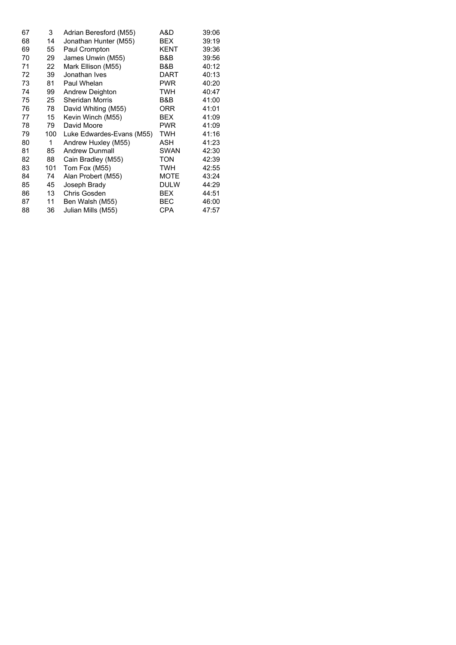| 67 | 3   | Adrian Beresford (M55)    | A&D         | 39:06 |
|----|-----|---------------------------|-------------|-------|
| 68 | 14  | Jonathan Hunter (M55)     | <b>BEX</b>  | 39:19 |
| 69 | 55  | Paul Crompton             | <b>KENT</b> | 39:36 |
| 70 | 29  | James Unwin (M55)         | B&B         | 39:56 |
| 71 | 22  | Mark Ellison (M55)        | B&B         | 40:12 |
| 72 | 39  | Jonathan Ives             | DART        | 40:13 |
| 73 | 81  | Paul Whelan               | <b>PWR</b>  | 40:20 |
| 74 | 99  | Andrew Deighton           | <b>TWH</b>  | 40:47 |
| 75 | 25  | <b>Sheridan Morris</b>    | B&B         | 41:00 |
| 76 | 78  | David Whiting (M55)       | <b>ORR</b>  | 41:01 |
| 77 | 15  | Kevin Winch (M55)         | <b>BEX</b>  | 41:09 |
| 78 | 79  | David Moore               | <b>PWR</b>  | 41:09 |
| 79 | 100 | Luke Edwardes-Evans (M55) | <b>TWH</b>  | 41:16 |
| 80 | 1   | Andrew Huxley (M55)       | ASH         | 41:23 |
| 81 | 85  | <b>Andrew Dunmall</b>     | <b>SWAN</b> | 42:30 |
| 82 | 88  | Cain Bradley (M55)        | <b>TON</b>  | 42:39 |
| 83 | 101 | Tom Fox (M55)             | <b>TWH</b>  | 42:55 |
| 84 | 74  | Alan Probert (M55)        | <b>MOTE</b> | 43:24 |
| 85 | 45  | Joseph Brady              | <b>DULW</b> | 44:29 |
| 86 | 13  | Chris Gosden              | <b>BEX</b>  | 44:51 |
| 87 | 11  | Ben Walsh (M55)           | <b>BEC</b>  | 46:00 |
| 88 | 36  | Julian Mills (M55)        | CPA         | 47:57 |
|    |     |                           |             |       |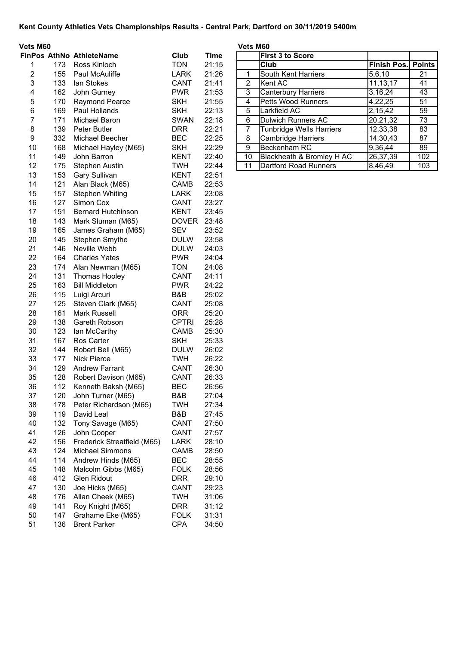| Vets M60                |     |                                 |              |             | Vets M60       |                                 |                    |                 |
|-------------------------|-----|---------------------------------|--------------|-------------|----------------|---------------------------------|--------------------|-----------------|
|                         |     | <b>FinPos AthNo AthleteName</b> | Club         | <b>Time</b> |                | <b>First 3 to Score</b>         |                    |                 |
| 1                       | 173 | Ross Kinloch                    | <b>TON</b>   | 21:15       |                | Club                            | <b>Finish Pos.</b> | Poin            |
| $\overline{\mathbf{c}}$ | 155 | Paul McAuliffe                  | <b>LARK</b>  | 21:26       | 1              | South Kent Harriers             | 5,6,10             | 21              |
| $\mathbf{3}$            | 133 | lan Stokes                      | CANT         | 21:41       | 2              | Kent AC                         | 11, 13, 17         | 41              |
| 4                       | 162 | John Gurney                     | <b>PWR</b>   | 21:53       | $\overline{3}$ | <b>Canterbury Harriers</b>      | 3,16,24            | 43              |
| 5                       | 170 | <b>Raymond Pearce</b>           | <b>SKH</b>   | 21:55       | $\overline{4}$ | Petts Wood Runners              | 4,22,25            | 51              |
| 6                       | 169 | Paul Hollands                   | <b>SKH</b>   | 22:13       | 5              | Larkfield AC                    | 2,15,42            | 59              |
| $\overline{7}$          | 171 | Michael Baron                   | <b>SWAN</b>  | 22:18       | 6              | <b>Dulwich Runners AC</b>       | 20,21,32           | $\overline{73}$ |
| $\bf 8$                 | 139 | Peter Butler                    | <b>DRR</b>   | 22:21       | $\overline{7}$ | <b>Tunbridge Wells Harriers</b> | 12,33,38           | 83              |
| $\boldsymbol{9}$        | 332 | Michael Beecher                 | <b>BEC</b>   | 22:25       | 8              | <b>Cambridge Harriers</b>       | 14,30,43           | $\overline{87}$ |
| 10                      | 168 | Michael Hayley (M65)            | <b>SKH</b>   | 22:29       | $\overline{9}$ | Beckenham RC                    | 9,36,44            | 89              |
| 11                      | 149 | John Barron                     | <b>KENT</b>  | 22:40       | 10             | Blackheath & Bromley H AC       | 26,37,39           | 102             |
| 12                      | 175 | <b>Stephen Austin</b>           | <b>TWH</b>   | 22:44       | 11             | Dartford Road Runners           | 8,46,49            | 103             |
| 13                      | 153 | <b>Gary Sullivan</b>            | <b>KENT</b>  | 22:51       |                |                                 |                    |                 |
| 14                      | 121 | Alan Black (M65)                | CAMB         | 22:53       |                |                                 |                    |                 |
| 15                      | 157 | <b>Stephen Whiting</b>          | LARK         | 23:08       |                |                                 |                    |                 |
| 16                      | 127 | Simon Cox                       | CANT         | 23:27       |                |                                 |                    |                 |
| 17                      | 151 | <b>Bernard Hutchinson</b>       | <b>KENT</b>  | 23:45       |                |                                 |                    |                 |
| 18                      | 143 | Mark Sluman (M65)               | <b>DOVER</b> | 23:48       |                |                                 |                    |                 |
| 19                      | 165 | James Graham (M65)              | <b>SEV</b>   | 23:52       |                |                                 |                    |                 |
| 20                      | 145 | Stephen Smythe                  | <b>DULW</b>  | 23:58       |                |                                 |                    |                 |
| 21                      | 146 | Neville Webb                    | <b>DULW</b>  | 24:03       |                |                                 |                    |                 |
| 22                      | 164 | <b>Charles Yates</b>            | <b>PWR</b>   | 24:04       |                |                                 |                    |                 |
|                         |     |                                 |              |             |                |                                 |                    |                 |
| 23                      | 174 | Alan Newman (M65)               | <b>TON</b>   | 24:08       |                |                                 |                    |                 |
| 24                      | 131 | Thomas Hooley                   | CANT         | 24:11       |                |                                 |                    |                 |
| 25                      | 163 | <b>Bill Middleton</b>           | <b>PWR</b>   | 24:22       |                |                                 |                    |                 |
| 26                      | 115 | Luigi Arcuri                    | B&B          | 25:02       |                |                                 |                    |                 |
| 27                      | 125 | Steven Clark (M65)              | CANT         | 25:08       |                |                                 |                    |                 |
| 28                      | 161 | <b>Mark Russell</b>             | <b>ORR</b>   | 25:20       |                |                                 |                    |                 |
| 29                      | 138 | Gareth Robson                   | <b>CPTRI</b> | 25:28       |                |                                 |                    |                 |
| 30                      | 123 | lan McCarthy                    | CAMB         | 25:30       |                |                                 |                    |                 |
| 31                      | 167 | Ros Carter                      | <b>SKH</b>   | 25:33       |                |                                 |                    |                 |
| 32                      | 144 | Robert Bell (M65)               | <b>DULW</b>  | 26:02       |                |                                 |                    |                 |
| 33                      | 177 | <b>Nick Pierce</b>              | <b>TWH</b>   | 26:22       |                |                                 |                    |                 |
| 34                      | 129 | <b>Andrew Farrant</b>           | CANT         | 26:30       |                |                                 |                    |                 |
| 35                      | 128 | Robert Davison (M65)            | CANT         | 26:33       |                |                                 |                    |                 |
| 36                      | 112 | Kenneth Baksh (M65)             | <b>BEC</b>   | 26:56       |                |                                 |                    |                 |
| 37                      | 120 | John Turner (M65)               | B&B          | 27:04       |                |                                 |                    |                 |
| 38                      | 178 | Peter Richardson (M65)          | <b>TWH</b>   | 27:34       |                |                                 |                    |                 |
| 39                      | 119 | David Leal                      | B&B          | 27:45       |                |                                 |                    |                 |
| 40                      | 132 | Tony Savage (M65)               | CANT         | 27:50       |                |                                 |                    |                 |
| 41                      | 126 | John Cooper                     | CANT         | 27:57       |                |                                 |                    |                 |
| 42                      | 156 | Frederick Streatfield (M65)     | <b>LARK</b>  | 28:10       |                |                                 |                    |                 |
| 43                      | 124 | <b>Michael Simmons</b>          | CAMB         | 28:50       |                |                                 |                    |                 |
| 44                      | 114 | Andrew Hinds (M65)              | <b>BEC</b>   | 28:55       |                |                                 |                    |                 |
| 45                      | 148 | Malcolm Gibbs (M65)             | <b>FOLK</b>  | 28:56       |                |                                 |                    |                 |
| 46                      | 412 | Glen Ridout                     | <b>DRR</b>   | 29:10       |                |                                 |                    |                 |
| 47                      | 130 | Joe Hicks (M65)                 | CANT         | 29:23       |                |                                 |                    |                 |
| 48                      | 176 | Allan Cheek (M65)               | <b>TWH</b>   | 31:06       |                |                                 |                    |                 |
| 49                      | 141 | Roy Knight (M65)                | <b>DRR</b>   | 31:12       |                |                                 |                    |                 |
| 50                      | 147 | Grahame Eke (M65)               | <b>FOLK</b>  | 31:31       |                |                                 |                    |                 |
| 51                      | 136 | <b>Brent Parker</b>             | <b>CPA</b>   | 34:50       |                |                                 |                    |                 |

| s m60 |     |                       |             |       | vets m60 |                            |                           |     |
|-------|-----|-----------------------|-------------|-------|----------|----------------------------|---------------------------|-----|
|       |     | Pos AthNo AthleteName | Club        | Time  |          | <b>First 3 to Score</b>    |                           |     |
|       | 173 | Ross Kinloch          | <b>TON</b>  | 21:15 |          | <b>Club</b>                | <b>Finish Pos. Points</b> |     |
| 2.    | 155 | <b>Paul McAuliffe</b> | <b>LARK</b> | 21:26 |          | South Kent Harriers        | 5,6,10                    | 21  |
| 3     | 133 | lan Stokes            | <b>CANT</b> | 21:41 | 2        | Kent AC                    | 11, 13, 17                | 41  |
| 4     | 162 | John Gurney           | <b>PWR</b>  | 21:53 | 3        | <b>Canterbury Harriers</b> | 3,16,24                   | 43  |
| 5.    | 170 | Raymond Pearce        | <b>SKH</b>  | 21:55 | 4        | <b>Petts Wood Runners</b>  | 4,22,25                   | 51  |
| 6.    | 169 | Paul Hollands         | <b>SKH</b>  | 22:13 | 5        | Larkfield AC               | 2,15,42                   | 59  |
|       | 171 | Michael Baron         | <b>SWAN</b> | 22:18 | 6        | Dulwich Runners AC         | 20,21,32                  | 73  |
| 8     | 139 | Peter Butler          | <b>DRR</b>  | 22:21 |          | Tunbridge Wells Harriers   | 12,33,38                  | 83  |
| 9     | 332 | Michael Beecher       | <b>BEC</b>  | 22:25 | 8        | <b>Cambridge Harriers</b>  | 14,30,43                  | 87  |
| 10    | 168 | Michael Hayley (M65)  | <b>SKH</b>  | 22:29 | 9        | Beckenham RC               | 9,36,44                   | 89  |
| 11    | 149 | John Barron           | <b>KENT</b> | 22:40 | 10       | Blackheath & Bromley H AC  | 26,37,39                  | 102 |
| 12    | 175 | Stephen Austin        | <b>TWH</b>  | 22:44 |          | Dartford Road Runners      | 8,46,49                   | 103 |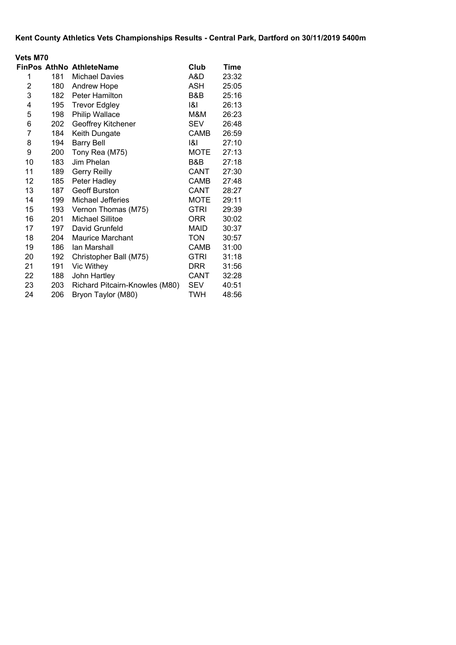|                | <b>Vets M70</b> |                                |             |       |  |  |  |  |  |
|----------------|-----------------|--------------------------------|-------------|-------|--|--|--|--|--|
|                |                 | FinPos AthNo AthleteName       | Club        | Time  |  |  |  |  |  |
| 1              | 181 -           | <b>Michael Davies</b>          | A&D         | 23:32 |  |  |  |  |  |
| 2              | 180             | <b>Andrew Hope</b>             | ASH         | 25:05 |  |  |  |  |  |
| 3              | 182             | <b>Peter Hamilton</b>          | B&B         | 25:16 |  |  |  |  |  |
| 4              | 195             | <b>Trevor Edgley</b>           | 1&1         | 26:13 |  |  |  |  |  |
| 5              | 198             | Philip Wallace                 | M&M         | 26:23 |  |  |  |  |  |
| 6              | 202             | Geoffrey Kitchener             | <b>SEV</b>  | 26:48 |  |  |  |  |  |
| $\overline{7}$ | 184             | Keith Dungate                  | <b>CAMB</b> | 26:59 |  |  |  |  |  |
| 8              | 194             | <b>Barry Bell</b>              | ।&।         | 27:10 |  |  |  |  |  |
| 9              | 200             | Tony Rea (M75)                 | <b>MOTE</b> | 27:13 |  |  |  |  |  |
| 10             | 183             | Jim Phelan                     | B&B         | 27:18 |  |  |  |  |  |
| 11             | 189             | <b>Gerry Reilly</b>            | CANT        | 27:30 |  |  |  |  |  |
| 12             | 185             | Peter Hadley                   | CAMB        | 27:48 |  |  |  |  |  |
| 13             | 187             | <b>Geoff Burston</b>           | CANT        | 28:27 |  |  |  |  |  |
| 14             | 199             | Michael Jefferies              | <b>MOTE</b> | 29:11 |  |  |  |  |  |
| 15             | 193             | Vernon Thomas (M75)            | <b>GTRI</b> | 29:39 |  |  |  |  |  |
| 16             | 201             | Michael Sillitoe               | ORR         | 30:02 |  |  |  |  |  |
| 17             | 197             | David Grunfeld                 | <b>MAID</b> | 30:37 |  |  |  |  |  |
| 18             | 204             | <b>Maurice Marchant</b>        | <b>TON</b>  | 30:57 |  |  |  |  |  |
| 19             | 186             | Ian Marshall                   | <b>CAMB</b> | 31:00 |  |  |  |  |  |
| 20             | 192             | Christopher Ball (M75)         | <b>GTRI</b> | 31:18 |  |  |  |  |  |
| 21             | 191             | Vic Withey                     | <b>DRR</b>  | 31:56 |  |  |  |  |  |
| 22             | 188             | John Hartley                   | CANT        | 32:28 |  |  |  |  |  |
| 23             | 203             | Richard Pitcairn-Knowles (M80) | SEV         | 40:51 |  |  |  |  |  |
| 24             | 206             | Bryon Taylor (M80)             | TWH         | 48:56 |  |  |  |  |  |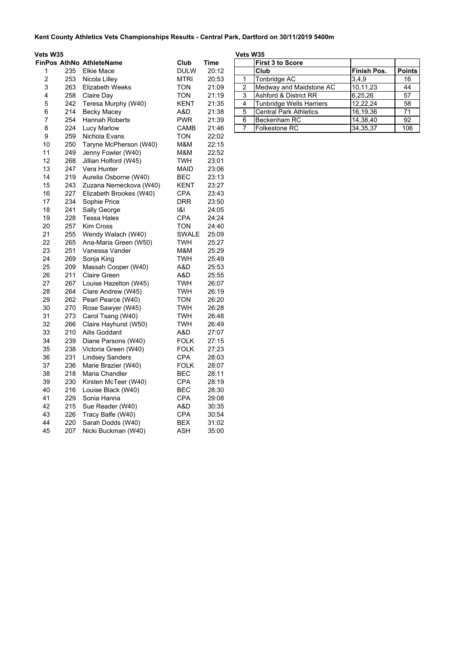| Vets W35       |            |                                          |                          |                | Vets W35 |                                  |                    |                 |
|----------------|------------|------------------------------------------|--------------------------|----------------|----------|----------------------------------|--------------------|-----------------|
|                |            | <b>FinPos AthNo AthleteName</b>          | Club                     | Time           |          | <b>First 3 to Score</b>          |                    |                 |
| 1              | 235        | <b>Elkie Mace</b>                        | <b>DULW</b>              | 20:12          |          | Club                             | <b>Finish Pos.</b> | <b>Points</b>   |
| $\overline{c}$ | 253        | Nicola Lilley                            | MTRI                     | 20:53          | 1        | Tonbridge AC                     | 3,4,9              | 16              |
| 3              | 263        | <b>Elizabeth Weeks</b>                   | <b>TON</b>               | 21:09          | 2        | Medway and Maidstone AC          | 10,11,23           | 44              |
| 4              | 258        | Claire Day                               | <b>TON</b>               | 21:19          | 3        | <b>Ashford &amp; District RR</b> | 6,25,26            | 57              |
| 5              | 242        | Teresa Murphy (W40)                      | KENT                     | 21:35          | 4        | <b>Tunbridge Wells Harriers</b>  | 12,22,24           | 58              |
| 6              | 214        | Becky Macey                              | A&D                      | 21:38          | 5        | <b>Central Park Athletics</b>    | 16,19,36           | $\overline{71}$ |
| 7              | 254        | <b>Hannah Roberts</b>                    | <b>PWR</b>               | 21:39          | 6        | Beckenham RC                     | 14,38,40           | 92              |
| 8              | 224        | Lucy Marlow                              | CAMB                     | 21:46          | 7        | Folkestone RC                    | 34,35,37           | 106             |
| 9              | 259        | Nichola Evans                            | <b>TON</b>               | 22:02          |          |                                  |                    |                 |
| 10             | 250        | Taryne McPherson (W40)                   | M&M                      | 22:15          |          |                                  |                    |                 |
| 11             | 249        | Jenny Fowler (W40)                       | M&M                      | 22:52          |          |                                  |                    |                 |
| 12             | 268        | Jillian Holford (W45)                    | <b>TWH</b>               | 23:01          |          |                                  |                    |                 |
| 13             | 247        | Vera Hunter                              | MAID                     | 23:06          |          |                                  |                    |                 |
| 14             | 219        | Aurelia Osborne (W40)                    | <b>BEC</b>               | 23:13          |          |                                  |                    |                 |
| 15             | 243        | Zuzana Nemeckova (W40)                   | KENT                     | 23:27          |          |                                  |                    |                 |
| 16             | 227        | Elizabeth Brookes (W40)                  | <b>CPA</b>               | 23:43          |          |                                  |                    |                 |
| 17             | 234        | Sophie Price                             | DRR                      | 23:50          |          |                                  |                    |                 |
| 18             | 241        | Sally George                             | 1&1                      | 24:05          |          |                                  |                    |                 |
| 19             | 228        | <b>Tessa Hales</b>                       | <b>CPA</b>               | 24:24          |          |                                  |                    |                 |
| 20             | 257        | <b>Kim Cross</b>                         | <b>TON</b>               | 24:40          |          |                                  |                    |                 |
| 21             | 255        | Wendy Walach (W40)                       | <b>SWALE</b>             | 25:09          |          |                                  |                    |                 |
| 22             | 265        | Ana-Maria Green (W50)                    | TWH                      | 25:27          |          |                                  |                    |                 |
| 23             | 251        | Vanessa Vander                           | M&M                      | 25:29          |          |                                  |                    |                 |
| 24             | 269        | Sonja King                               | <b>TWH</b>               | 25:49          |          |                                  |                    |                 |
| 25             | 209        | Massah Cooper (W40)                      | A&D                      | 25:53          |          |                                  |                    |                 |
| 26             | 211        | <b>Claire Green</b>                      | A&D                      | 25:55          |          |                                  |                    |                 |
| 27             | 267        | Louise Hazelton (W45)                    | <b>TWH</b>               | 26:07          |          |                                  |                    |                 |
| 28             | 264        | Clare Andrew (W45)                       | <b>TWH</b>               | 26:19          |          |                                  |                    |                 |
| 29             | 262        | Pearl Pearce (W40)                       | <b>TON</b>               | 26:20          |          |                                  |                    |                 |
| 30             | 270        | Rose Sawyer (W45)                        | <b>TWH</b>               | 26:28          |          |                                  |                    |                 |
| 31             | 273        | Carol Tsang (W40)                        | <b>TWH</b>               | 26:48          |          |                                  |                    |                 |
| 32             | 266        | Claire Hayhurst (W50)                    | TWH                      | 26:49          |          |                                  |                    |                 |
| 33             | 210        | Ailis Goddard                            | A&D                      | 27:07          |          |                                  |                    |                 |
| 34             | 239        | Diane Parsons (W40)                      | <b>FOLK</b>              | 27:15          |          |                                  |                    |                 |
| 35             | 238        | Victoria Green (W40)                     | <b>FOLK</b>              | 27:23          |          |                                  |                    |                 |
| 36             | 231        | <b>Lindsey Sanders</b>                   | <b>CPA</b>               | 28:03          |          |                                  |                    |                 |
| 37             | 236        | Marie Brazier (W40)                      | <b>FOLK</b>              | 28:07          |          |                                  |                    |                 |
| 38             | 218        | Maria Chandler                           | <b>BEC</b>               | 28:11          |          |                                  |                    |                 |
| 39             | 230        | Kirsten McTeer (W40)                     | <b>CPA</b>               | 28:19          |          |                                  |                    |                 |
| 40<br>41       | 216        | Louise Black (W40)                       | <b>BEC</b>               | 28:30          |          |                                  |                    |                 |
|                | 229        | Sonia Hanna                              | <b>CPA</b>               | 29:08          |          |                                  |                    |                 |
| 42<br>43       | 215<br>226 | Sue Reader (W40)                         | A&D                      | 30:35          |          |                                  |                    |                 |
| 44             | 220        | Tracy Balfe (W40)                        | <b>CPA</b><br><b>BEX</b> | 30:54<br>31:02 |          |                                  |                    |                 |
| 45             | 207        | Sarah Dodds (W40)<br>Nicki Buckman (W40) | <b>ASH</b>               | 35:00          |          |                                  |                    |                 |
|                |            |                                          |                          |                |          |                                  |                    |                 |

|   | <b>First 3 to Score</b>          |                    |               |
|---|----------------------------------|--------------------|---------------|
|   | Club                             | <b>Finish Pos.</b> | <b>Points</b> |
|   | Tonbridge AC                     | 3,4,9              | 16            |
| 2 | Medway and Maidstone AC          | 10,11,23           | 44            |
| 3 | <b>Ashford &amp; District RR</b> | 6,25,26            | 57            |
| 4 | Tunbridge Wells Harriers         | 12,22,24           | 58            |
| 5 | <b>Central Park Athletics</b>    | 16,19,36           | 71            |
| 6 | Beckenham RC                     | 14,38,40           | 92            |
|   | <b>Folkestone RC</b>             | 34, 35, 37         | 106           |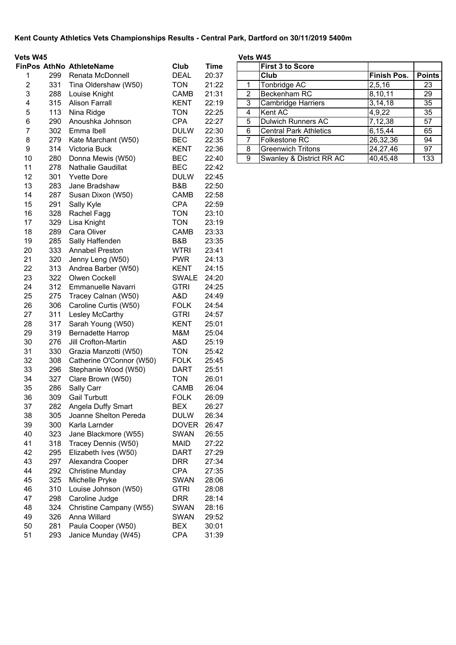| <b>Vets W45</b>             |      |              |  |  |  |  |  |
|-----------------------------|------|--------------|--|--|--|--|--|
| <b>FinPos AthNo Athlete</b> |      |              |  |  |  |  |  |
|                             | 299. | Renata       |  |  |  |  |  |
|                             | ົດ ລ | $T:=-\infty$ |  |  |  |  |  |

|    |     | <b>AUROLONAIR</b>        |              | .     |   |                               |                     |      |
|----|-----|--------------------------|--------------|-------|---|-------------------------------|---------------------|------|
| 1  | 299 | Renata McDonnell         | <b>DEAL</b>  | 20:37 |   | Club                          | <b>Finish Pos.</b>  | Poin |
| 2  | 331 | Tina Oldershaw (W50)     | <b>TON</b>   | 21:22 | 1 | Tonbridge AC                  | $\overline{2,5,16}$ | 23   |
| 3  | 288 | Louise Knight            | CAMB         | 21:31 | 2 | Beckenham RC                  | 8,10,11             | 29   |
| 4  | 315 | <b>Alison Farrall</b>    | <b>KENT</b>  | 22:19 | 3 | Cambridge Harriers            | 3, 14, 18           | 35   |
| 5  | 113 | Nina Ridge               | <b>TON</b>   | 22:25 | 4 | Kent AC                       | 4,9,22              | 35   |
| 6  | 290 | Anoushka Johnson         | <b>CPA</b>   | 22:27 | 5 | <b>Dulwich Runners AC</b>     | 7,12,38             | 57   |
| 7  | 302 | Emma Ibell               | <b>DULW</b>  | 22:30 | 6 | <b>Central Park Athletics</b> | 6,15,44             | 65   |
| 8  | 279 | Kate Marchant (W50)      | <b>BEC</b>   | 22:35 | 7 | <b>Folkestone RC</b>          | 26,32,36            | 94   |
| 9  | 314 | Victoria Buck            | <b>KENT</b>  | 22:36 | 8 | <b>Greenwich Tritons</b>      | 24,27,46            | 97   |
| 10 | 280 | Donna Mewis (W50)        | <b>BEC</b>   | 22:40 | 9 | Swanley & District RR AC      | 40,45,48            | 133  |
| 11 | 278 | Nathalie Gaudillat       | <b>BEC</b>   | 22:42 |   |                               |                     |      |
| 12 | 301 | <b>Yvette Dore</b>       | <b>DULW</b>  | 22:45 |   |                               |                     |      |
| 13 | 283 | Jane Bradshaw            | B&B          | 22:50 |   |                               |                     |      |
| 14 | 287 | Susan Dixon (W50)        | <b>CAMB</b>  | 22:58 |   |                               |                     |      |
| 15 | 291 | Sally Kyle               | <b>CPA</b>   | 22:59 |   |                               |                     |      |
| 16 | 328 | Rachel Fagg              | <b>TON</b>   | 23:10 |   |                               |                     |      |
| 17 | 329 | Lisa Knight              | <b>TON</b>   | 23:19 |   |                               |                     |      |
| 18 | 289 | Cara Oliver              | <b>CAMB</b>  | 23:33 |   |                               |                     |      |
| 19 | 285 | Sally Haffenden          | B&B          | 23:35 |   |                               |                     |      |
| 20 | 333 | <b>Annabel Preston</b>   | <b>WTRI</b>  | 23:41 |   |                               |                     |      |
| 21 | 320 | Jenny Leng (W50)         | <b>PWR</b>   | 24:13 |   |                               |                     |      |
| 22 | 313 | Andrea Barber (W50)      | <b>KENT</b>  | 24:15 |   |                               |                     |      |
| 23 | 322 | Olwen Cockell            | <b>SWALE</b> | 24:20 |   |                               |                     |      |
| 24 | 312 | Emmanuelle Navarri       | <b>GTRI</b>  | 24:25 |   |                               |                     |      |
| 25 | 275 | Tracey Calnan (W50)      | A&D          | 24:49 |   |                               |                     |      |
| 26 | 306 | Caroline Curtis (W50)    | <b>FOLK</b>  | 24:54 |   |                               |                     |      |
| 27 | 311 | Lesley McCarthy          | <b>GTRI</b>  | 24:57 |   |                               |                     |      |
| 28 | 317 | Sarah Young (W50)        | <b>KENT</b>  | 25:01 |   |                               |                     |      |
| 29 | 319 | <b>Bernadette Harrop</b> | M&M          | 25:04 |   |                               |                     |      |
| 30 | 276 | Jill Crofton-Martin      | A&D          | 25:19 |   |                               |                     |      |
| 31 | 330 | Grazia Manzotti (W50)    | <b>TON</b>   | 25:42 |   |                               |                     |      |
| 32 | 308 | Catherine O'Connor (W50) | <b>FOLK</b>  | 25:45 |   |                               |                     |      |
| 33 | 296 | Stephanie Wood (W50)     | <b>DART</b>  | 25:51 |   |                               |                     |      |
| 34 | 327 | Clare Brown (W50)        | <b>TON</b>   | 26:01 |   |                               |                     |      |
| 35 | 286 | Sally Carr               | <b>CAMB</b>  | 26:04 |   |                               |                     |      |
| 36 | 309 | <b>Gail Turbutt</b>      | <b>FOLK</b>  | 26:09 |   |                               |                     |      |
| 37 | 282 | Angela Duffy Smart       | <b>BEX</b>   | 26:27 |   |                               |                     |      |
| 38 | 305 | Joanne Shelton Pereda    | <b>DULW</b>  | 26:34 |   |                               |                     |      |
| 39 | 300 | Karla Larnder            | <b>DOVER</b> | 26:47 |   |                               |                     |      |
| 40 | 323 | Jane Blackmore (W55)     | <b>SWAN</b>  | 26:55 |   |                               |                     |      |
| 41 | 318 | Tracey Dennis (W50)      | <b>MAID</b>  | 27:22 |   |                               |                     |      |
| 42 | 295 | Elizabeth Ives (W50)     | <b>DART</b>  | 27:29 |   |                               |                     |      |
| 43 | 297 | Alexandra Cooper         | <b>DRR</b>   | 27:34 |   |                               |                     |      |
| 44 | 292 | <b>Christine Munday</b>  | <b>CPA</b>   | 27:35 |   |                               |                     |      |
| 45 | 325 | Michelle Pryke           | <b>SWAN</b>  | 28:06 |   |                               |                     |      |
| 46 | 310 | Louise Johnson (W50)     | <b>GTRI</b>  | 28:08 |   |                               |                     |      |
| 47 | 298 | Caroline Judge           | <b>DRR</b>   | 28:14 |   |                               |                     |      |
| 48 | 324 | Christine Campany (W55)  | <b>SWAN</b>  | 28:16 |   |                               |                     |      |
| 49 | 326 | Anna Willard             | <b>SWAN</b>  | 29:52 |   |                               |                     |      |
| 50 | 281 | Paula Cooper (W50)       | <b>BEX</b>   | 30:01 |   |                               |                     |      |
| 51 | 293 | Janice Munday (W45)      | <b>CPA</b>   | 31:39 |   |                               |                     |      |

| Vets W45 |     |                                 |             |       | Vets W45      |                               |             |               |
|----------|-----|---------------------------------|-------------|-------|---------------|-------------------------------|-------------|---------------|
|          |     | <b>FinPos AthNo AthleteName</b> | Club        | Time  |               | <b>First 3 to Score</b>       |             |               |
|          | 299 | Renata McDonnell                | <b>DEAL</b> | 20:37 |               | Club                          | Finish Pos. | <b>Points</b> |
| 2        | 331 | Tina Oldershaw (W50)            | <b>TON</b>  | 21:22 |               | Tonbridge AC                  | 2,5,16      | 23            |
| 3        | 288 | Louise Knight                   | <b>CAMB</b> | 21:31 | $\mathcal{P}$ | Beckenham RC                  | 8,10,11     | 29            |
| 4        | 315 | <b>Alison Farrall</b>           | <b>KENT</b> | 22:19 | 3             | Cambridge Harriers            | 3, 14, 18   | 35            |
| 5        | 113 | Nina Ridge                      | <b>TON</b>  | 22:25 | 4             | Kent AC                       | 4,9,22      | 35            |
| 6        | 290 | Anoushka Johnson                | <b>CPA</b>  | 22:27 | 5             | Dulwich Runners AC            | 7,12,38     | 57            |
|          | 302 | Emma Ibell                      | <b>DULW</b> | 22:30 | 6             | <b>Central Park Athletics</b> | 6,15,44     | 65            |
| 8        | 279 | Kate Marchant (W50)             | <b>BEC</b>  | 22:35 |               | Folkestone RC                 | 26,32,36    | 94            |
| 9        | 314 | Victoria Buck                   | <b>KENT</b> | 22:36 | 8             | <b>Greenwich Tritons</b>      | 24,27,46    | 97            |
| 10       | 280 | Donna Mewis (W50)               | <b>BEC</b>  | 22:40 | 9             | Swanley & District RR AC      | 40,45,48    | 133           |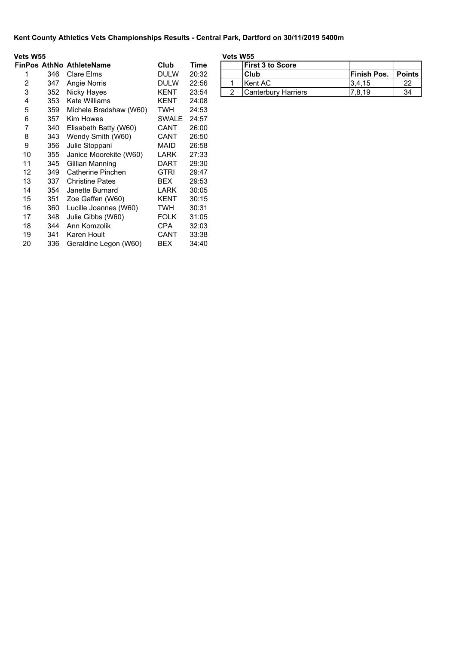| Vets W55 |     |                                 |              |       | Vets W55       |                         |
|----------|-----|---------------------------------|--------------|-------|----------------|-------------------------|
|          |     | <b>FinPos AthNo AthleteName</b> | Club         | Time  |                | <b>First 3 to Score</b> |
| 1        | 346 | Clare Elms                      | <b>DULW</b>  | 20:32 |                | Club                    |
| 2        | 347 | Angie Norris                    | <b>DULW</b>  | 22:56 | 1              | Kent AC                 |
| 3        | 352 | Nicky Hayes                     | KENT         | 23:54 | $\overline{2}$ | Canterbury Harr         |
| 4        | 353 | <b>Kate Williams</b>            | KENT         | 24:08 |                |                         |
| 5        | 359 | Michele Bradshaw (W60)          | TWH.         | 24:53 |                |                         |
| 6        | 357 | <b>Kim Howes</b>                | <b>SWALE</b> | 24:57 |                |                         |
| 7        | 340 | Elisabeth Batty (W60)           | CANT         | 26:00 |                |                         |
| 8        | 343 | Wendy Smith (W60)               | CANT         | 26:50 |                |                         |
| 9        | 356 | Julie Stoppani                  | MAID         | 26:58 |                |                         |
| 10       | 355 | Janice Moorekite (W60)          | LARK         | 27:33 |                |                         |
| 11       | 345 | Gillian Manning                 | DART         | 29:30 |                |                         |
| 12       | 349 | Catherine Pinchen               | <b>GTRI</b>  | 29:47 |                |                         |
| 13       | 337 | <b>Christine Pates</b>          | BEX          | 29:53 |                |                         |
| 14       | 354 | Janette Burnard                 | <b>LARK</b>  | 30:05 |                |                         |
| 15       | 351 | Zoe Gaffen (W60)                | KENT         | 30:15 |                |                         |
| 16       | 360 | Lucille Joannes (W60)           | TWH          | 30:31 |                |                         |
| 17       | 348 | Julie Gibbs (W60)               | <b>FOLK</b>  | 31:05 |                |                         |
| 18       | 344 | Ann Komzolik                    | CPA          | 32:03 |                |                         |
| 19       | 341 | Karen Hoult                     | <b>CANT</b>  | 33:38 |                |                         |
| 20       | 336 | Geraldine Legon (W60)           | BEX          | 34:40 |                |                         |

|   |     | Pos AthNo AthleteName | Club        | Time  | <b>IFirst 3 to Score</b>    |                            |    |
|---|-----|-----------------------|-------------|-------|-----------------------------|----------------------------|----|
|   | 346 | Clare Elms            | DULW        | 20:32 | lClub                       | <b>IFinish Pos. Points</b> |    |
| ∠ | 347 | Angie Norris          | <b>DULW</b> | 22:56 | Kent AC                     | 3.4.15                     | 22 |
|   | 352 | Nicky Hayes           | KENT        | 23:54 | <b>ICanterbury Harriers</b> | 7.8.19                     | 34 |